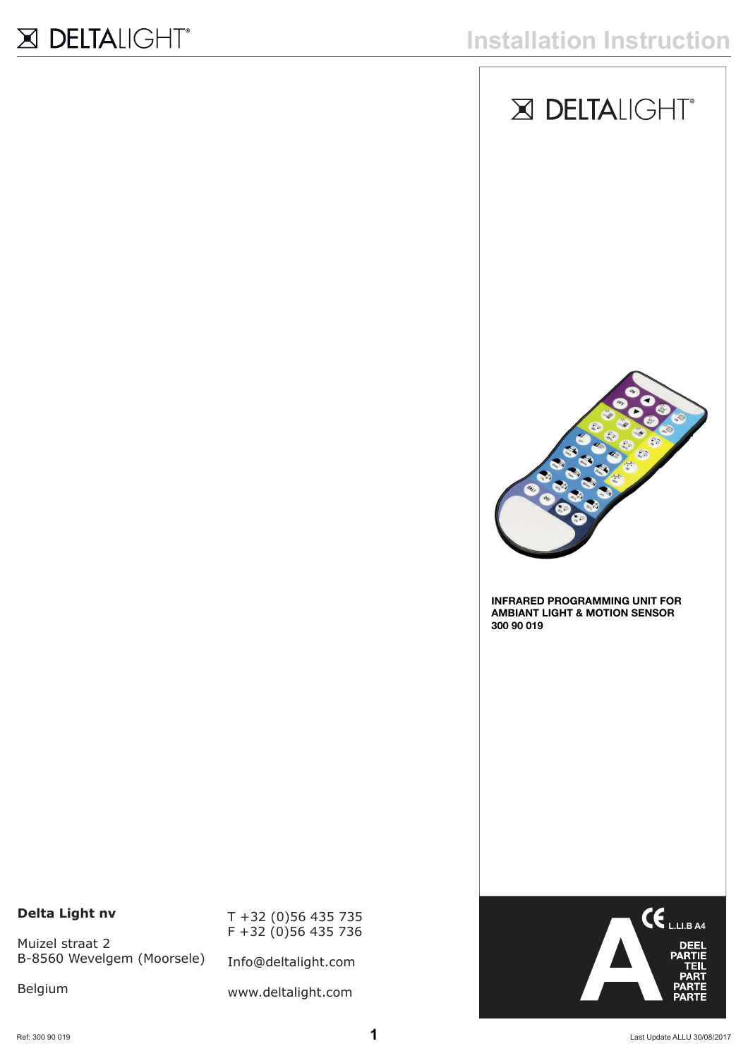



**INFRARED PROGRAMMING UNIT FOR AMBIANT LIGHT & MOTION SENSOR 300 90 019**

#### **Delta Light nv**

Muizel straat 2 B-8560 Wevelgem (Moorsele)

Belgium

T +32 (0)56 435 735 F +32 (0)56 435 736

Info@deltalight.com

www.deltalight.com

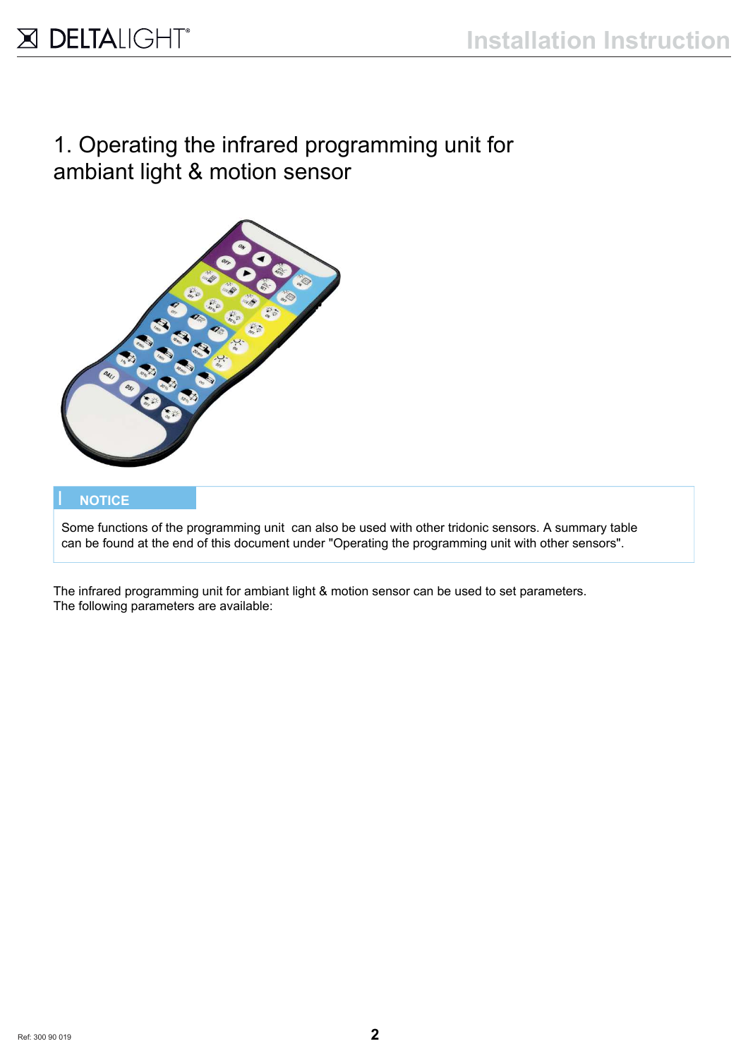# 1. Operating the infrared programming unit for ambiant light & motion sensor



#### I **NOTICE**

 Some functions of the programming unit can also be used with other tridonic sensors. A summary table can be found at the end of this document under "Operating the programming unit with other sensors".

The infrared programming unit for ambiant light & motion sensor can be used to set parameters. The following parameters are available: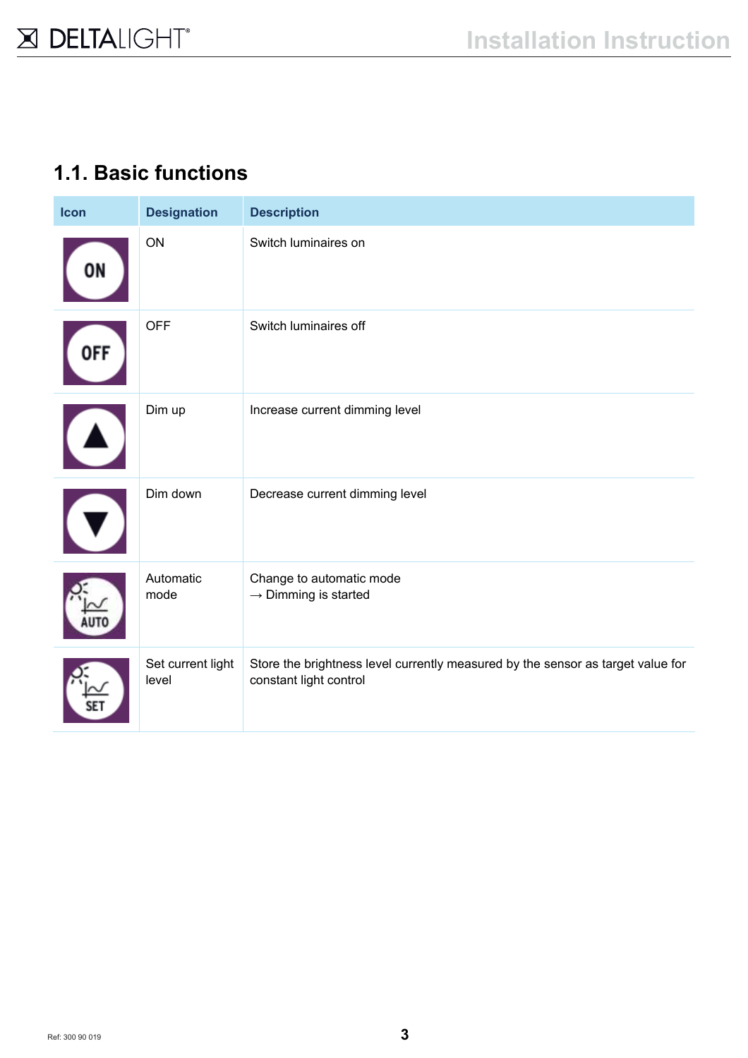#### **1.1. Basic functions**

| Icon       | <b>Designation</b>         | <b>Description</b>                                                                                        |
|------------|----------------------------|-----------------------------------------------------------------------------------------------------------|
| ON         | ON                         | Switch luminaires on                                                                                      |
| <b>OFF</b> | <b>OFF</b>                 | Switch luminaires off                                                                                     |
|            | Dim up                     | Increase current dimming level                                                                            |
|            | Dim down                   | Decrease current dimming level                                                                            |
|            | Automatic<br>mode          | Change to automatic mode<br>$\rightarrow$ Dimming is started                                              |
|            | Set current light<br>level | Store the brightness level currently measured by the sensor as target value for<br>constant light control |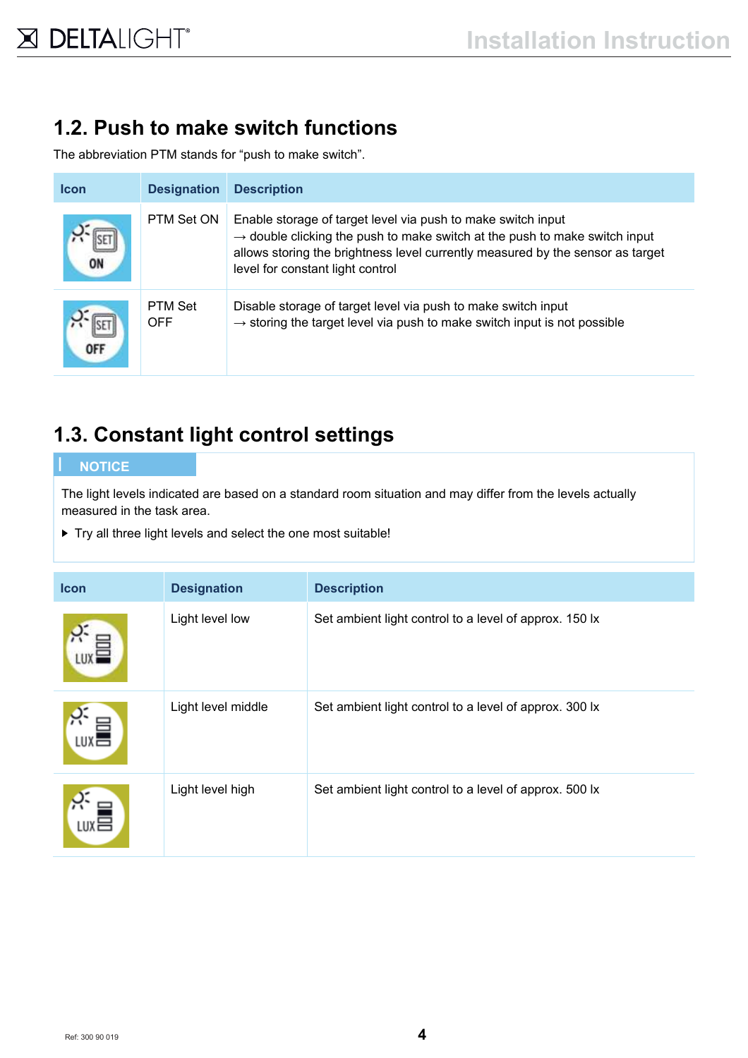# **1.2. Push to make switch functions**

The abbreviation PTM stands for "push to make switch".

| <b>Icon</b> | <b>Designation</b>           | <b>Description</b>                                                                                                                                                                                                                                                           |
|-------------|------------------------------|------------------------------------------------------------------------------------------------------------------------------------------------------------------------------------------------------------------------------------------------------------------------------|
| OI          | PTM Set ON                   | Enable storage of target level via push to make switch input<br>$\rightarrow$ double clicking the push to make switch at the push to make switch input<br>allows storing the brightness level currently measured by the sensor as target<br>level for constant light control |
| <b>OFF</b>  | <b>PTM Set</b><br><b>OFF</b> | Disable storage of target level via push to make switch input<br>$\rightarrow$ storing the target level via push to make switch input is not possible                                                                                                                        |

### **1.3. Constant light control settings**

#### I **NOTICE**

The light levels indicated are based on a standard room situation and may differ from the levels actually measured in the task area.

▶ Try all three light levels and select the one most suitable!

| <b>Icon</b>      | <b>Designation</b> | <b>Description</b>                                     |
|------------------|--------------------|--------------------------------------------------------|
|                  | Light level low    | Set ambient light control to a level of approx. 150 lx |
| LUX <sub>E</sub> | Light level middle | Set ambient light control to a level of approx. 300 lx |
| L∪X旨             | Light level high   | Set ambient light control to a level of approx. 500 lx |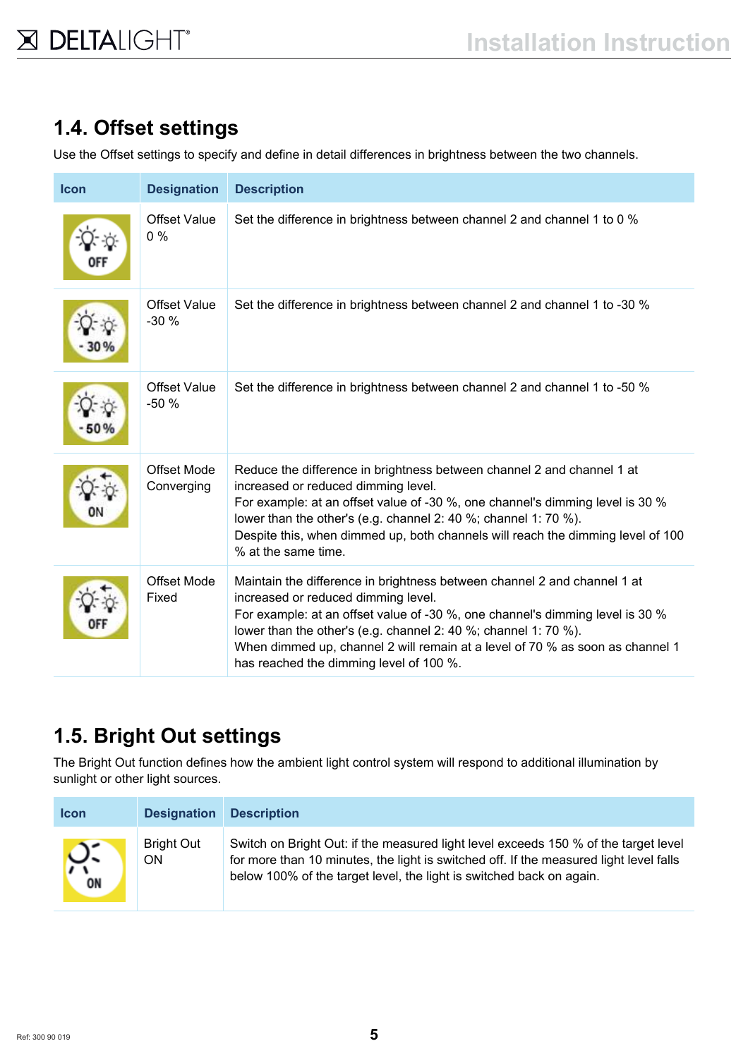# **1.4. Offset settings**

Use the Offset settings to specify and define in detail differences in brightness between the two channels.

| Icon | <b>Designation</b>               | <b>Description</b>                                                                                                                                                                                                                                                                                                                                                                              |
|------|----------------------------------|-------------------------------------------------------------------------------------------------------------------------------------------------------------------------------------------------------------------------------------------------------------------------------------------------------------------------------------------------------------------------------------------------|
|      | <b>Offset Value</b><br>$0\%$     | Set the difference in brightness between channel 2 and channel 1 to 0 %                                                                                                                                                                                                                                                                                                                         |
|      | <b>Offset Value</b><br>$-30%$    | Set the difference in brightness between channel 2 and channel 1 to -30 %                                                                                                                                                                                                                                                                                                                       |
|      | <b>Offset Value</b><br>$-50%$    | Set the difference in brightness between channel 2 and channel 1 to -50 %                                                                                                                                                                                                                                                                                                                       |
|      | <b>Offset Mode</b><br>Converging | Reduce the difference in brightness between channel 2 and channel 1 at<br>increased or reduced dimming level.<br>For example: at an offset value of -30 %, one channel's dimming level is 30 %<br>lower than the other's (e.g. channel 2: 40 %; channel 1: 70 %).<br>Despite this, when dimmed up, both channels will reach the dimming level of 100<br>% at the same time.                     |
|      | <b>Offset Mode</b><br>Fixed      | Maintain the difference in brightness between channel 2 and channel 1 at<br>increased or reduced dimming level.<br>For example: at an offset value of -30 %, one channel's dimming level is 30 %<br>lower than the other's (e.g. channel 2: 40 %; channel 1: 70 %).<br>When dimmed up, channel 2 will remain at a level of 70 % as soon as channel 1<br>has reached the dimming level of 100 %. |

# **1.5. Bright Out settings**

The Bright Out function defines how the ambient light control system will respond to additional illumination by sunlight or other light sources.

| <b>Icon</b> | <b>Designation</b>      | <b>Description</b>                                                                                                                                                                                                                                    |
|-------------|-------------------------|-------------------------------------------------------------------------------------------------------------------------------------------------------------------------------------------------------------------------------------------------------|
| ႙ႜ<br>ON    | <b>Bright Out</b><br>ΟN | Switch on Bright Out: if the measured light level exceeds 150 % of the target level<br>for more than 10 minutes, the light is switched off. If the measured light level falls<br>below 100% of the target level, the light is switched back on again. |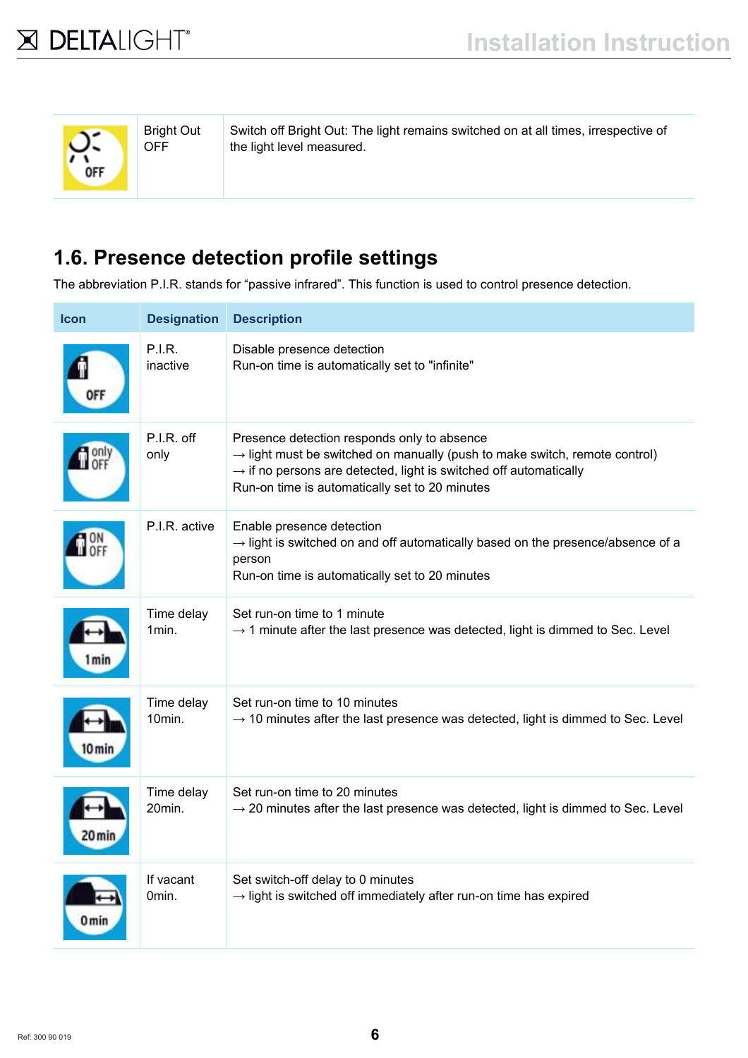| <b>Bright Out</b><br><b>OFF</b> |
|---------------------------------|
|                                 |

Switch off Bright Out: The light remains switched on at all times, irrespective of the light level measured.

# **1.6. Presence detection profile settings**

The abbreviation P.I.R. stands for "passive infrared". This function is used to control presence detection.

| <b>Icon</b> | <b>Designation</b>        | <b>Description</b>                                                                                                                                                                                                                                                       |
|-------------|---------------------------|--------------------------------------------------------------------------------------------------------------------------------------------------------------------------------------------------------------------------------------------------------------------------|
|             | <b>P.I.R.</b><br>inactive | Disable presence detection<br>Run-on time is automatically set to "infinite"                                                                                                                                                                                             |
|             | P.I.R. off<br>only        | Presence detection responds only to absence<br>$\rightarrow$ light must be switched on manually (push to make switch, remote control)<br>$\rightarrow$ if no persons are detected, light is switched off automatically<br>Run-on time is automatically set to 20 minutes |
|             | P.I.R. active             | Enable presence detection<br>$\rightarrow$ light is switched on and off automatically based on the presence/absence of a<br>person<br>Run-on time is automatically set to 20 minutes                                                                                     |
| l min       | Time delay<br>1min.       | Set run-on time to 1 minute<br>$\rightarrow$ 1 minute after the last presence was detected, light is dimmed to Sec. Level                                                                                                                                                |
| 0 mir       | Time delay<br>10min.      | Set run-on time to 10 minutes<br>$\rightarrow$ 10 minutes after the last presence was detected, light is dimmed to Sec. Level                                                                                                                                            |
| 20 min      | Time delay<br>20min.      | Set run-on time to 20 minutes<br>$\rightarrow$ 20 minutes after the last presence was detected, light is dimmed to Sec. Level                                                                                                                                            |
| 0 min       | If vacant<br>0min.        | Set switch-off delay to 0 minutes<br>$\rightarrow$ light is switched off immediately after run-on time has expired                                                                                                                                                       |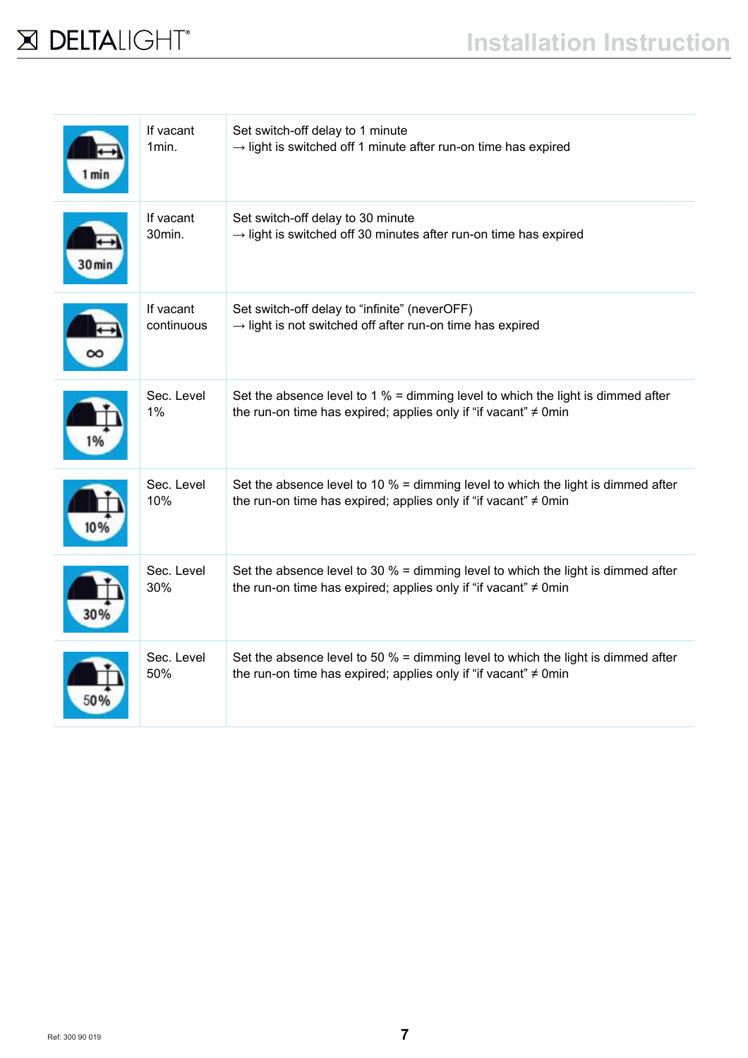

| min  | If vacant<br>1min.      | Set switch-off delay to 1 minute<br>$\rightarrow$ light is switched off 1 minute after run-on time has expired                                             |
|------|-------------------------|------------------------------------------------------------------------------------------------------------------------------------------------------------|
| u mı | If vacant<br>30min.     | Set switch-off delay to 30 minute<br>$\rightarrow$ light is switched off 30 minutes after run-on time has expired                                          |
|      | If vacant<br>continuous | Set switch-off delay to "infinite" (neverOFF)<br>$\rightarrow$ light is not switched off after run-on time has expired                                     |
|      | Sec. Level<br>1%        | Set the absence level to 1 $%$ = dimming level to which the light is dimmed after<br>the run-on time has expired; applies only if "if vacant" ≠ 0min       |
|      | Sec. Level<br>10%       | Set the absence level to 10 $%$ = dimming level to which the light is dimmed after<br>the run-on time has expired; applies only if "if vacant" $\neq$ 0min |
|      | Sec. Level<br>30%       | Set the absence level to 30 $%$ = dimming level to which the light is dimmed after<br>the run-on time has expired; applies only if "if vacant" $\neq$ 0min |
|      | Sec. Level<br>50%       | Set the absence level to 50 $%$ = dimming level to which the light is dimmed after<br>the run-on time has expired; applies only if "if vacant" $\neq$ 0min |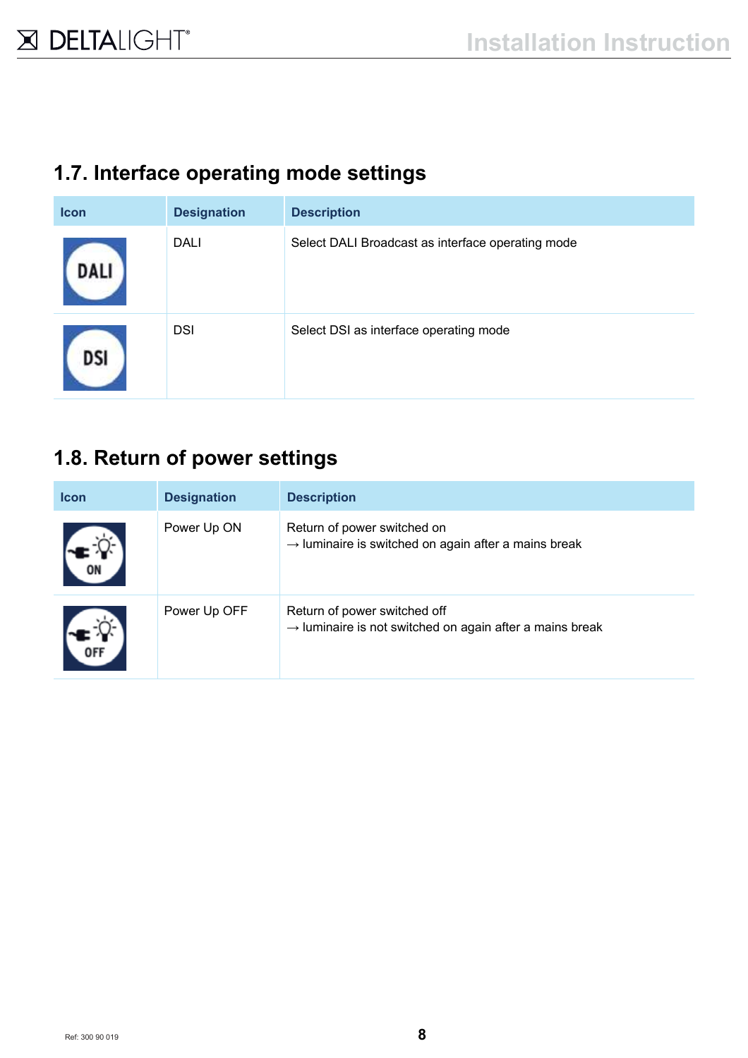### **1.7. Interface operating mode settings**

| <b>Icon</b> | <b>Designation</b> | <b>Description</b>                                |
|-------------|--------------------|---------------------------------------------------|
| DALI        | <b>DALI</b>        | Select DALI Broadcast as interface operating mode |
| DSI         | <b>DSI</b>         | Select DSI as interface operating mode            |

### **1.8. Return of power settings**

| <b>Icon</b> | <b>Designation</b> | <b>Description</b>                                                                                   |
|-------------|--------------------|------------------------------------------------------------------------------------------------------|
|             | Power Up ON        | Return of power switched on<br>$\rightarrow$ luminaire is switched on again after a mains break      |
|             | Power Up OFF       | Return of power switched off<br>$\rightarrow$ luminaire is not switched on again after a mains break |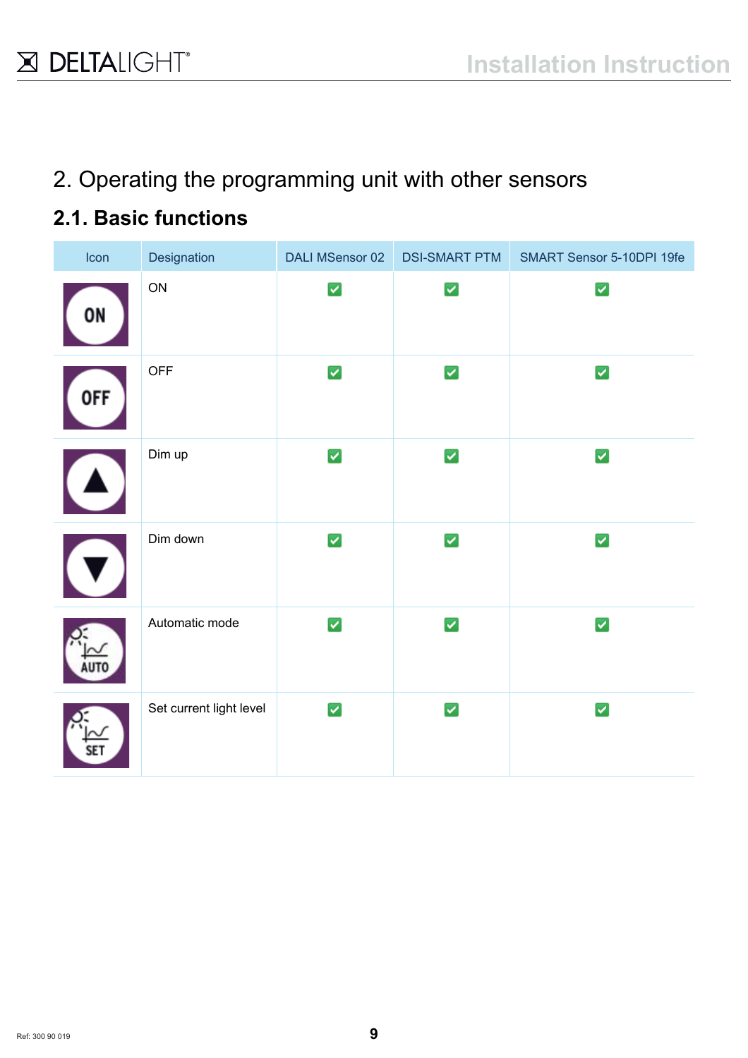2. Operating the programming unit with other sensors

# **2.1. Basic functions**

| Icon       | Designation             | <b>DALI MSensor 02</b> | <b>DSI-SMART PTM</b> | SMART Sensor 5-10DPI 19fe |
|------------|-------------------------|------------------------|----------------------|---------------------------|
| 0N         | ON                      | $\blacktriangledown$   | $\blacktriangledown$ | $\blacktriangleright$     |
| <b>OFF</b> | <b>OFF</b>              | $\blacktriangledown$   | $\blacktriangledown$ | $\blacktriangleright$     |
|            | Dim up                  | $\blacktriangledown$   | $\blacktriangledown$ | ✓                         |
|            | Dim down                | ☑                      | $\blacktriangledown$ | ✓                         |
|            | Automatic mode          | $\blacktriangledown$   | $\blacktriangledown$ | ☑                         |
|            | Set current light level | $\blacktriangleright$  | $\blacktriangledown$ | ✓                         |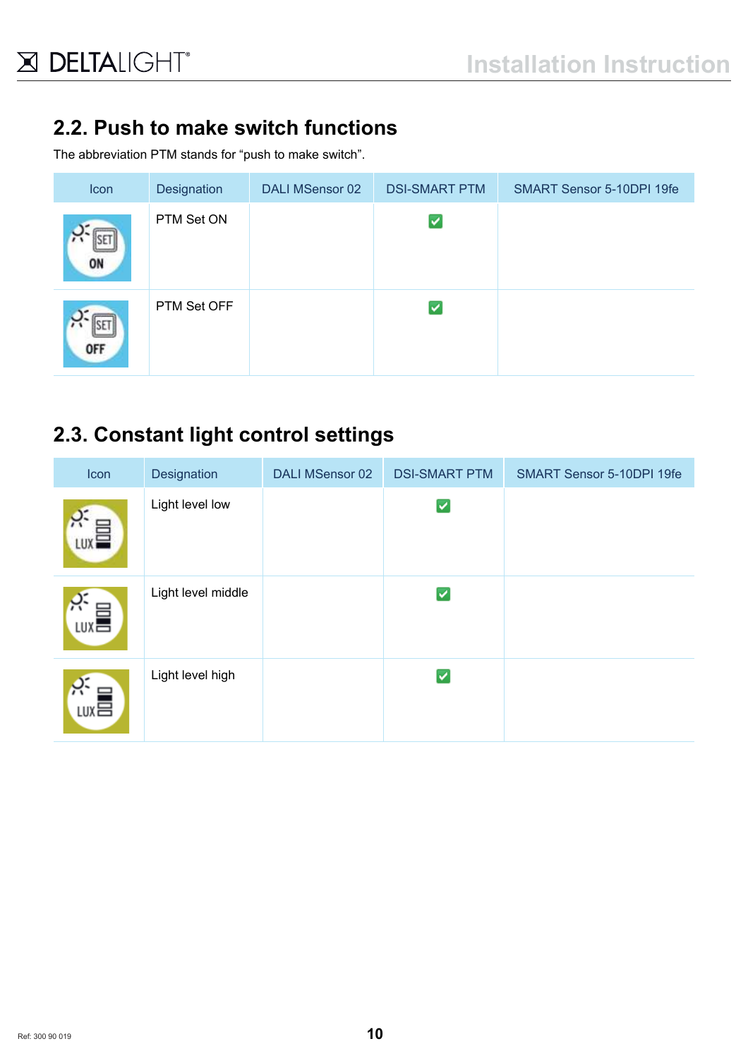# **2.2. Push to make switch functions**

The abbreviation PTM stands for "push to make switch".

| Icon       | Designation | DALI MSensor 02 | <b>DSI-SMART PTM</b> | SMART Sensor 5-10DPI 19fe |
|------------|-------------|-----------------|----------------------|---------------------------|
| ON         | PTM Set ON  |                 | ⊻                    |                           |
| <b>OFF</b> | PTM Set OFF |                 | ⊻                    |                           |

### **2.3. Constant light control settings**

| Icon                      | Designation        | <b>DALI MSensor 02</b> | <b>DSI-SMART PTM</b> | SMART Sensor 5-10DPI 19fe |
|---------------------------|--------------------|------------------------|----------------------|---------------------------|
| LUX <sub>=</sub>          | Light level low    |                        | ⊻                    |                           |
| $\tilde{h}$<br><b>LUX</b> | Light level middle |                        | ▽                    |                           |
| $\sum_{\text{LUX}}$       | Light level high   |                        | ✓                    |                           |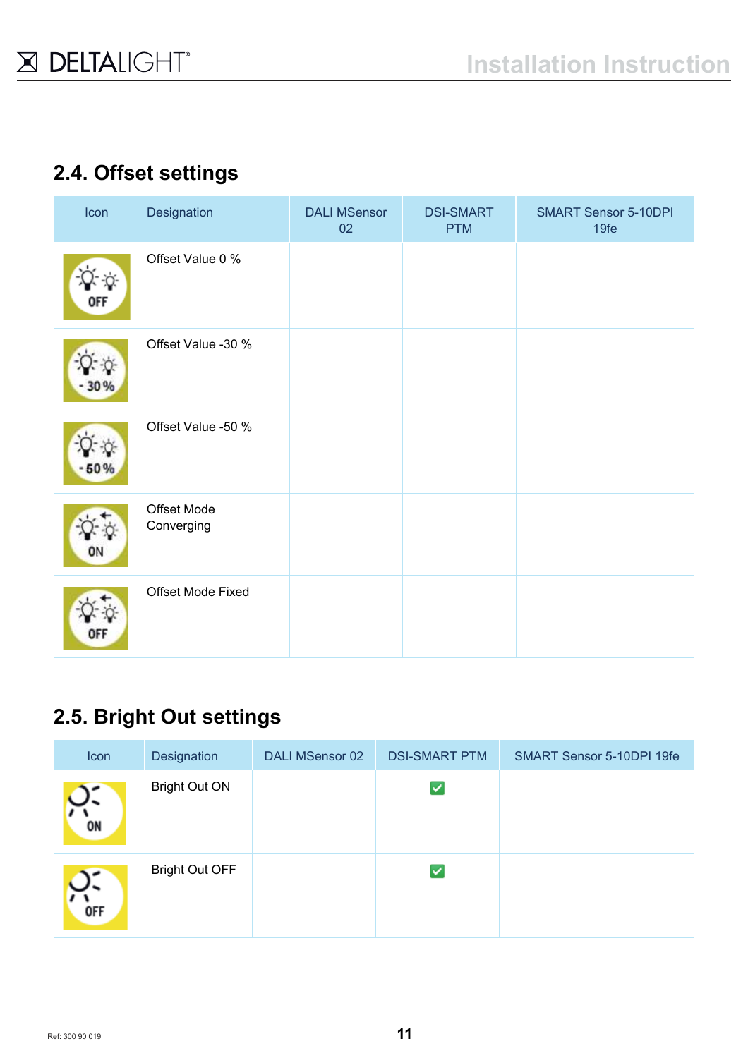## **2.4. Offset settings**

| Icon       | Designation               | <b>DALI MSensor</b><br>02 | <b>DSI-SMART</b><br><b>PTM</b> | <b>SMART Sensor 5-10DPI</b><br>19fe |
|------------|---------------------------|---------------------------|--------------------------------|-------------------------------------|
| <b>OFF</b> | Offset Value 0 %          |                           |                                |                                     |
| 30 %       | Offset Value -30 %        |                           |                                |                                     |
| $-50%$     | Offset Value -50 %        |                           |                                |                                     |
| ON         | Offset Mode<br>Converging |                           |                                |                                     |
| OFF        | Offset Mode Fixed         |                           |                                |                                     |

# **2.5. Bright Out settings**

| Icon       | Designation           | DALI MSensor 02 | <b>DSI-SMART PTM</b> | SMART Sensor 5-10DPI 19fe |
|------------|-----------------------|-----------------|----------------------|---------------------------|
| ON         | <b>Bright Out ON</b>  |                 | ✓                    |                           |
| <b>OFF</b> | <b>Bright Out OFF</b> |                 | ✓                    |                           |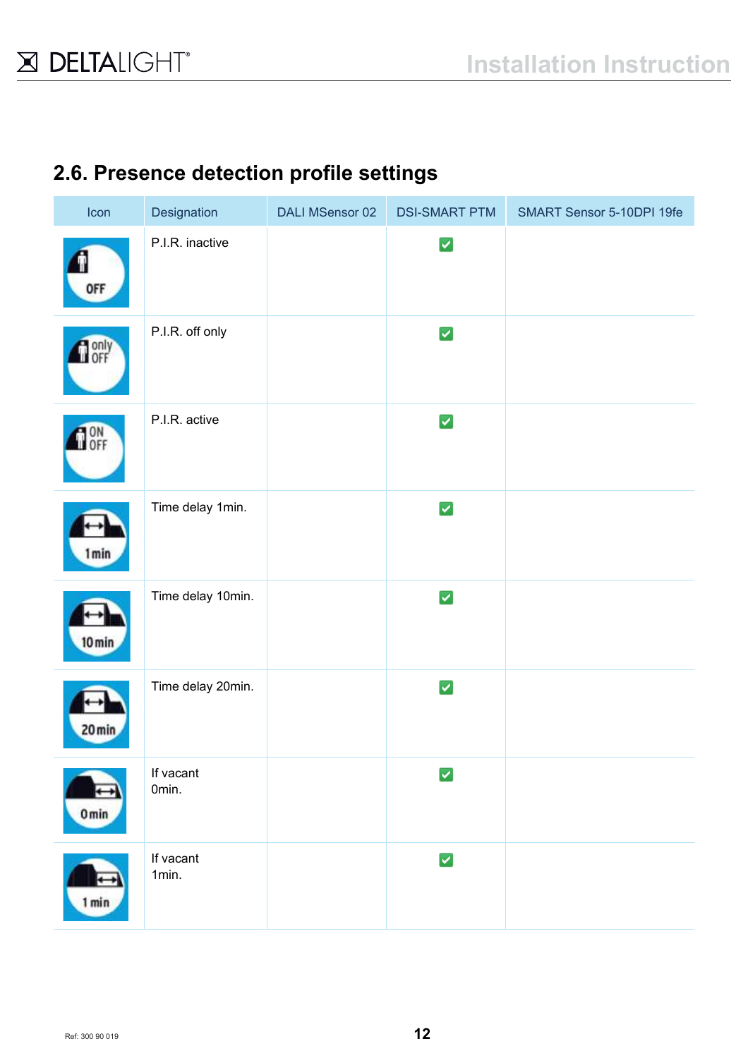### **2.6. Presence detection profile settings**

| Icon             | Designation        | <b>DALI MSensor 02</b> | <b>DSI-SMART PTM</b> | SMART Sensor 5-10DPI 19fe |
|------------------|--------------------|------------------------|----------------------|---------------------------|
| <b>OFF</b>       | P.I.R. inactive    |                        | ✓                    |                           |
| <b>O</b> only    | P.I.R. off only    |                        | ✓                    |                           |
| <b>DON</b>       | P.I.R. active      |                        | ☑                    |                           |
| 1 min            | Time delay 1min.   |                        | $\blacktriangledown$ |                           |
| 10 min           | Time delay 10min.  |                        | ✓                    |                           |
| 20 min           | Time delay 20min.  |                        | ☑                    |                           |
| 0 <sub>min</sub> | If vacant<br>Omin. |                        | ⊽                    |                           |
| 1 min            | If vacant<br>1min. |                        | ✓                    |                           |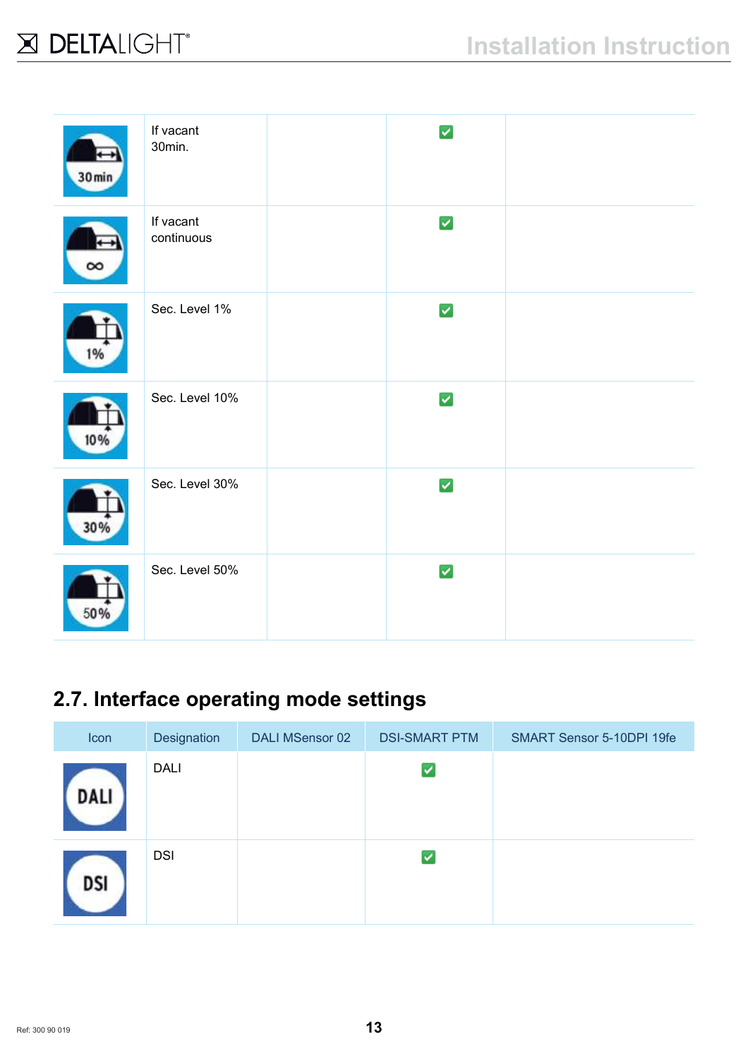| $30 \text{min}$ | If vacant<br>30min.     | ⊽                    |  |
|-----------------|-------------------------|----------------------|--|
| $\infty$        | If vacant<br>continuous | ☑                    |  |
| 1%              | Sec. Level 1%           | ☑                    |  |
| 10%             | Sec. Level 10%          | $\blacktriangledown$ |  |
| 30%             | Sec. Level 30%          | ☑                    |  |
| 50%             | Sec. Level 50%          | ☑                    |  |

# **2.7. Interface operating mode settings**

| Icon | Designation | <b>DALI MSensor 02</b> | <b>DSI-SMART PTM</b> | SMART Sensor 5-10DPI 19fe |
|------|-------------|------------------------|----------------------|---------------------------|
| DALI | <b>DALI</b> |                        | ▽                    |                           |
| DSI  | <b>DSI</b>  |                        | ◡                    |                           |